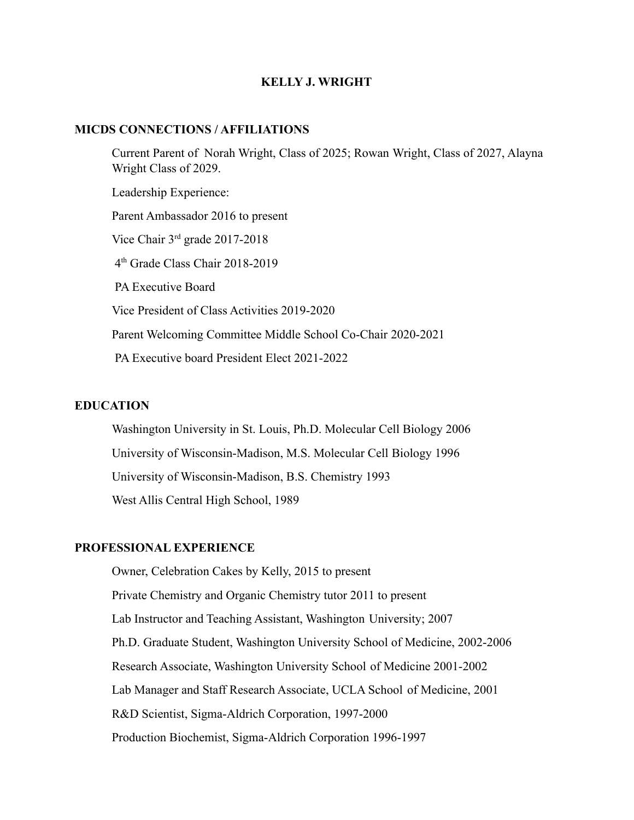## **KELLY J. WRIGHT**

#### **MICDS CONNECTIONS / AFFILIATIONS**

Current Parent of Norah Wright, Class of 2025; Rowan Wright, Class of 2027, Alayna Wright Class of 2029. Leadership Experience: Parent Ambassador 2016 to present Vice Chair 3rd grade 2017-2018 4 th Grade Class Chair 2018-2019 PA Executive Board Vice President of Class Activities 2019-2020 Parent Welcoming Committee Middle School Co-Chair 2020-2021 PA Executive board President Elect 2021-2022

# **EDUCATION**

Washington University in St. Louis, Ph.D. Molecular Cell Biology 2006 University of Wisconsin-Madison, M.S. Molecular Cell Biology 1996 University of Wisconsin-Madison, B.S. Chemistry 1993 West Allis Central High School, 1989

# **PROFESSIONAL EXPERIENCE**

Owner, Celebration Cakes by Kelly, 2015 to present Private Chemistry and Organic Chemistry tutor 2011 to present Lab Instructor and Teaching Assistant, Washington University; 2007 Ph.D. Graduate Student, Washington University School of Medicine, 2002-2006 Research Associate, Washington University School of Medicine 2001-2002 Lab Manager and Staff Research Associate, UCLA School of Medicine, 2001 R&D Scientist, Sigma-Aldrich Corporation, 1997-2000 Production Biochemist, Sigma-Aldrich Corporation 1996-1997